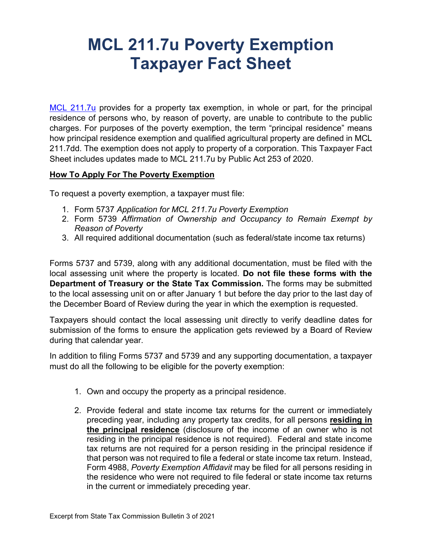## **MCL 211.7u Poverty Exemption Taxpayer Fact Sheet**

[MCL 211.7u](http://www.legislature.mi.gov/(S(2l2vqv45kwceycaix24vxfbd))/mileg.aspx?page=getObject&objectName=mcl-211-7u) provides for a property tax exemption, in whole or part, for the principal residence of persons who, by reason of poverty, are unable to contribute to the public charges. For purposes of the poverty exemption, the term "principal residence" means how principal residence exemption and qualified agricultural property are defined in MCL 211.7dd. The exemption does not apply to property of a corporation. This Taxpayer Fact Sheet includes updates made to MCL 211.7u by Public Act 253 of 2020.

## **How To Apply For The Poverty Exemption**

To request a poverty exemption, a taxpayer must file:

- 1. Form 5737 *Application for MCL 211.7u Poverty Exemption*
- 2. Form 5739 *Affirmation of Ownership and Occupancy to Remain Exempt by Reason of Poverty*
- 3. All required additional documentation (such as federal/state income tax returns)

Forms 5737 and 5739, along with any additional documentation, must be filed with the local assessing unit where the property is located. **Do not file these forms with the Department of Treasury or the State Tax Commission.** The forms may be submitted to the local assessing unit on or after January 1 but before the day prior to the last day of the December Board of Review during the year in which the exemption is requested.

Taxpayers should contact the local assessing unit directly to verify deadline dates for submission of the forms to ensure the application gets reviewed by a Board of Review during that calendar year.

In addition to filing Forms 5737 and 5739 and any supporting documentation, a taxpayer must do all the following to be eligible for the poverty exemption:

- 1. Own and occupy the property as a principal residence.
- 2. Provide federal and state income tax returns for the current or immediately preceding year, including any property tax credits, for all persons **residing in the principal residence** (disclosure of the income of an owner who is not residing in the principal residence is not required). Federal and state income tax returns are not required for a person residing in the principal residence if that person was not required to file a federal or state income tax return. Instead, Form 4988, *Poverty Exemption Affidavit* may be filed for all persons residing in the residence who were not required to file federal or state income tax returns in the current or immediately preceding year.